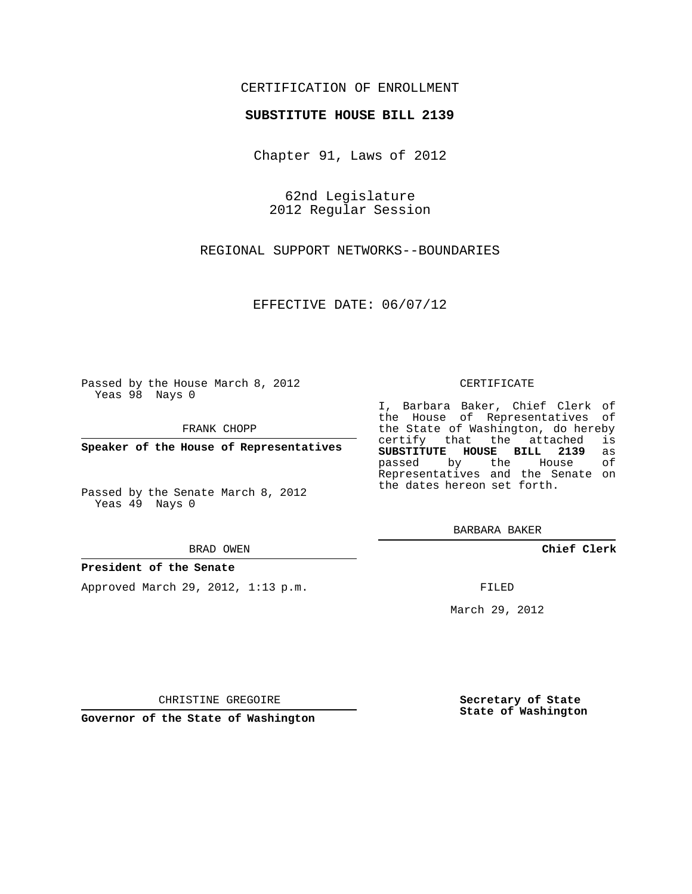## CERTIFICATION OF ENROLLMENT

## **SUBSTITUTE HOUSE BILL 2139**

Chapter 91, Laws of 2012

62nd Legislature 2012 Regular Session

REGIONAL SUPPORT NETWORKS--BOUNDARIES

EFFECTIVE DATE: 06/07/12

Passed by the House March 8, 2012 Yeas 98 Nays 0

FRANK CHOPP

**Speaker of the House of Representatives**

Passed by the Senate March 8, 2012 Yeas 49 Nays 0

BRAD OWEN

## **President of the Senate**

Approved March 29, 2012, 1:13 p.m.

CERTIFICATE

I, Barbara Baker, Chief Clerk of the House of Representatives of the State of Washington, do hereby<br>certify that the attached is certify that the attached **SUBSTITUTE HOUSE BILL 2139** as passed by the Representatives and the Senate on the dates hereon set forth.

BARBARA BAKER

**Chief Clerk**

FILED

March 29, 2012

**Secretary of State State of Washington**

CHRISTINE GREGOIRE

**Governor of the State of Washington**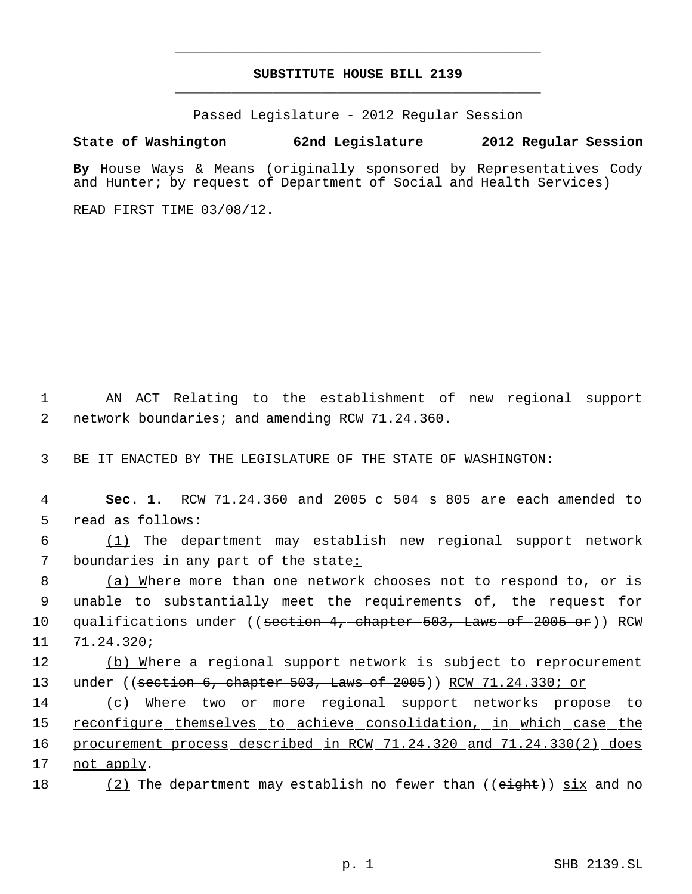# **SUBSTITUTE HOUSE BILL 2139** \_\_\_\_\_\_\_\_\_\_\_\_\_\_\_\_\_\_\_\_\_\_\_\_\_\_\_\_\_\_\_\_\_\_\_\_\_\_\_\_\_\_\_\_\_

\_\_\_\_\_\_\_\_\_\_\_\_\_\_\_\_\_\_\_\_\_\_\_\_\_\_\_\_\_\_\_\_\_\_\_\_\_\_\_\_\_\_\_\_\_

Passed Legislature - 2012 Regular Session

# **State of Washington 62nd Legislature 2012 Regular Session**

**By** House Ways & Means (originally sponsored by Representatives Cody and Hunter; by request of Department of Social and Health Services)

READ FIRST TIME 03/08/12.

 1 AN ACT Relating to the establishment of new regional support 2 network boundaries; and amending RCW 71.24.360.

3 BE IT ENACTED BY THE LEGISLATURE OF THE STATE OF WASHINGTON:

 4 **Sec. 1.** RCW 71.24.360 and 2005 c 504 s 805 are each amended to 5 read as follows:

 6 (1) The department may establish new regional support network 7 boundaries in any part of the state:

8 (a) Where more than one network chooses not to respond to, or is 9 unable to substantially meet the requirements of, the request for 10 qualifications under ((<del>section 4, chapter 503, Laws of 2005 or</del>)) RCW 11 71.24.320;

12 (b) Where a regional support network is subject to reprocurement 13 under ((section 6, chapter 503, Laws of 2005)) RCW 71.24.330; or

14 (c) Where two or more regional support networks propose to 15 reconfigure themselves to achieve consolidation, in which case the 16 procurement process described in RCW 71.24.320 and 71.24.330(2) does 17 not apply.

18  $(2)$  The department may establish no fewer than (( $e$ ight)) six and no